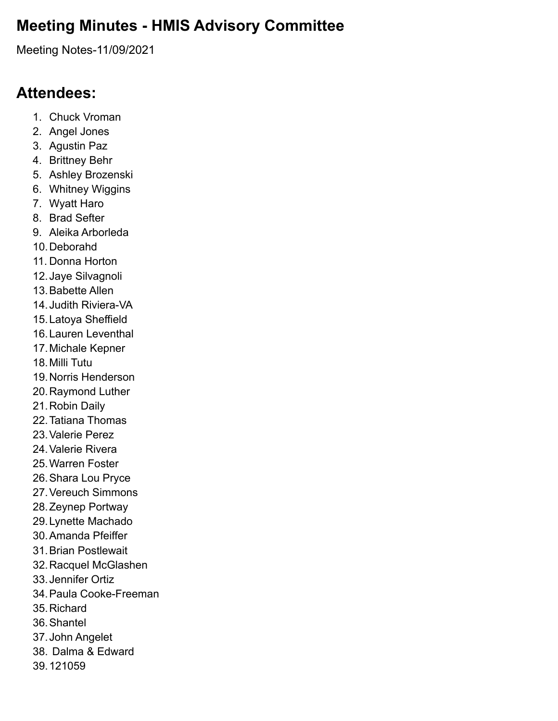## **Meeting Minutes - HMIS Advisory Committee**

Meeting Notes-11/09/2021

### **Attendees:**

- 1. Chuck Vroman
- 2. Angel Jones
- 3. Agustin Paz
- 4. Brittney Behr
- 5. Ashley Brozenski
- 6. Whitney Wiggins
- 7. Wyatt Haro
- 8. Brad Sefter
- 9. Aleika Arborleda
- 10.Deborahd
- 11. Donna Horton
- 12.Jaye Silvagnoli
- 13.Babette Allen
- 14.Judith Riviera-VA
- 15.Latoya Sheffield
- 16.Lauren Leventhal
- 17.Michale Kepner
- 18.Milli Tutu
- 19.Norris Henderson
- 20.Raymond Luther
- 21.Robin Daily
- 22.Tatiana Thomas
- 23.Valerie Perez
- 24.Valerie Rivera
- 25.Warren Foster
- 26.Shara Lou Pryce
- 27.Vereuch Simmons
- 28.Zeynep Portway
- 29.Lynette Machado
- 30.Amanda Pfeiffer
- 31.Brian Postlewait
- 32.Racquel McGlashen
- 33.Jennifer Ortiz
- 34.Paula Cooke-Freeman
- 35.Richard
- 36.Shantel
- 37.John Angelet
- 38. Dalma & Edward
- 39.121059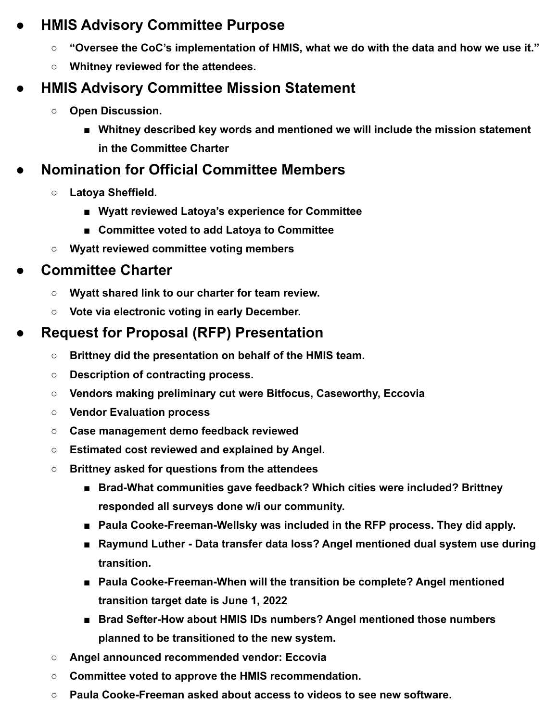#### **● HMIS Advisory Committee Purpose**

- **○ "Oversee the CoC's implementation of HMIS, what we do with the data and how we use it."**
- **○ Whitney reviewed for the attendees.**

# **● HMIS Advisory Committee Mission Statement**

- **○ Open Discussion.**
	- Whitney described key words and mentioned we will include the mission statement **in the Committee Charter**

## **● Nomination for Official Committee Members**

- **○ Latoya Sheffield.**
	- **■ Wyatt reviewed Latoya's experience for Committee**
	- **■ Committee voted to add Latoya to Committee**
- **○ Wyatt reviewed committee voting members**

### **● Committee Charter**

- **○ Wyatt shared link to our charter for team review.**
- **○ Vote via electronic voting in early December.**

## **● Request for Proposal (RFP) Presentation**

- **○ Brittney did the presentation on behalf of the HMIS team.**
- **○ Description of contracting process.**
- **○ Vendors making preliminary cut were Bitfocus, Caseworthy, Eccovia**
- **○ Vendor Evaluation process**
- **○ Case management demo feedback reviewed**
- **○ Estimated cost reviewed and explained by Angel.**
- **○ Brittney asked for questions from the attendees**
	- **Brad-What communities gave feedback? Which cities were included? Brittney responded all surveys done w/i our community.**
	- **Paula Cooke-Freeman-Wellsky was included in the RFP process. They did apply.**
	- **Raymund Luther Data transfer data loss? Angel mentioned dual system use during transition.**
	- **Paula Cooke-Freeman-When will the transition be complete? Angel mentioned transition target date is June 1, 2022**
	- **Brad Sefter-How about HMIS IDs numbers? Angel mentioned those numbers planned to be transitioned to the new system.**
- **○ Angel announced recommended vendor: Eccovia**
- **○ Committee voted to approve the HMIS recommendation.**
- **○ Paula Cooke-Freeman asked about access to videos to see new software.**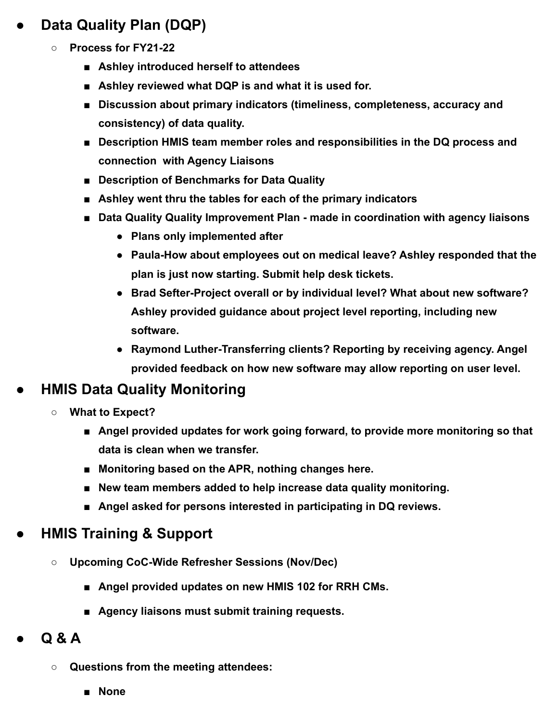# **● Data Quality Plan (DQP)**

- **○ Process for FY21-22**
	- **■ Ashley introduced herself to attendees**
	- **Ashley reviewed what DQP is and what it is used for.**
	- **■ Discussion about primary indicators (timeliness, completeness, accuracy and consistency) of data quality.**
	- **Description HMIS team member roles and responsibilities in the DQ process and connection with Agency Liaisons**
	- **Description of Benchmarks for Data Quality**
	- **■ Ashley went thru the tables for each of the primary indicators**
	- **Data Quality Quality Improvement Plan made in coordination with agency liaisons** 
		- **● Plans only implemented after**
		- **● Paula-How about employees out on medical leave? Ashley responded that the plan is just now starting. Submit help desk tickets.**
		- **● Brad Sefter-Project overall or by individual level? What about new software? Ashley provided guidance about project level reporting, including new software.**
		- **● Raymond Luther-Transferring clients? Reporting by receiving agency. Angel provided feedback on how new software may allow reporting on user level.**

## **● HMIS Data Quality Monitoring**

- **○ What to Expect?**
	- **Angel provided updates for work going forward, to provide more monitoring so that data is clean when we transfer.**
	- Monitoring based on the APR, nothing changes here.
	- **New team members added to help increase data quality monitoring.**
	- **Angel asked for persons interested in participating in DQ reviews.**

#### **● HMIS Training & Support**

- **○ Upcoming CoC-Wide Refresher Sessions (Nov/Dec)**
	- **Angel provided updates on new HMIS 102 for RRH CMs.**
	- **■ Agency liaisons must submit training requests.**
- **● Q & A**
	- **○ Questions from the meeting attendees:**
		- **■ None**